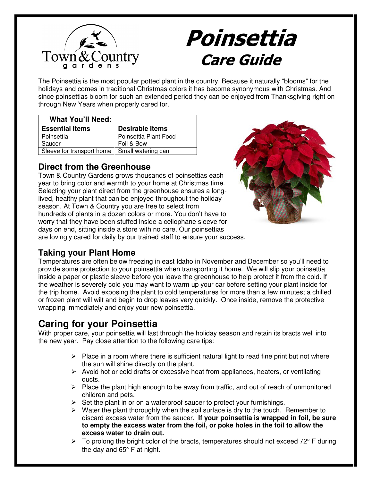

# Poinsettia Care Guide

The Poinsettia is the most popular potted plant in the country. Because it naturally "blooms" for the holidays and comes in traditional Christmas colors it has become synonymous with Christmas. And since poinsettias bloom for such an extended period they can be enjoyed from Thanksgiving right on through New Years when properly cared for.

| <b>What You'll Need:</b>                       |                        |
|------------------------------------------------|------------------------|
| <b>Essential Items</b>                         | <b>Desirable Items</b> |
| Poinsettia                                     | Poinsettia Plant Food  |
| Saucer                                         | Foil & Bow             |
| Sleeve for transport home   Small watering can |                        |

#### **Direct from the Greenhouse**

Town & Country Gardens grows thousands of poinsettias each year to bring color and warmth to your home at Christmas time. Selecting your plant direct from the greenhouse ensures a longlived, healthy plant that can be enjoyed throughout the holiday season. At Town & Country you are free to select from hundreds of plants in a dozen colors or more. You don't have to worry that they have been stuffed inside a cellophane sleeve for days on end, sitting inside a store with no care. Our poinsettias are lovingly cared for daily by our trained staff to ensure your success.



## **Taking your Plant Home**

Temperatures are often below freezing in east Idaho in November and December so you'll need to provide some protection to your poinsettia when transporting it home. We will slip your poinsettia inside a paper or plastic sleeve before you leave the greenhouse to help protect it from the cold. If the weather is severely cold you may want to warm up your car before setting your plant inside for the trip home. Avoid exposing the plant to cold temperatures for more than a few minutes; a chilled or frozen plant will wilt and begin to drop leaves very quickly. Once inside, remove the protective wrapping immediately and enjoy your new poinsettia.

# **Caring for your Poinsettia**

With proper care, your poinsettia will last through the holiday season and retain its bracts well into the new year. Pay close attention to the following care tips:

- $\triangleright$  Place in a room where there is sufficient natural light to read fine print but not where the sun will shine directly on the plant.
- $\triangleright$  Avoid hot or cold drafts or excessive heat from appliances, heaters, or ventilating ducts.
- $\triangleright$  Place the plant high enough to be away from traffic, and out of reach of unmonitored children and pets.
- $\triangleright$  Set the plant in or on a waterproof saucer to protect your furnishings.
- $\triangleright$  Water the plant thoroughly when the soil surface is dry to the touch. Remember to discard excess water from the saucer. **If your poinsettia is wrapped in foil, be sure to empty the excess water from the foil, or poke holes in the foil to allow the excess water to drain out.**
- $\triangleright$  To prolong the bright color of the bracts, temperatures should not exceed 72 $\degree$  F during the day and 65° F at night.